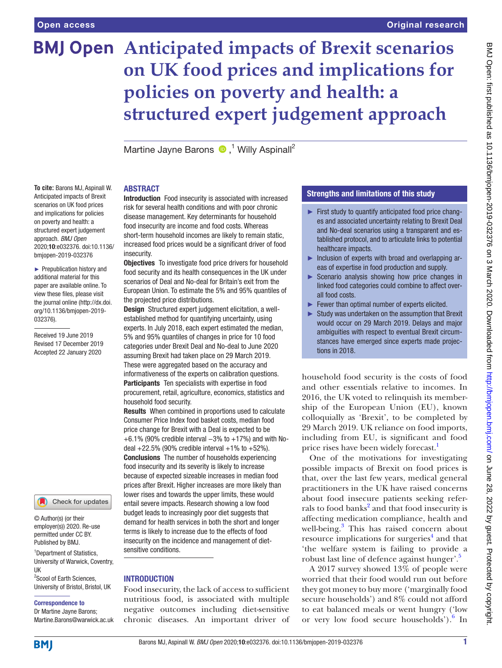**To cite:** Barons MJ, Aspinall W.

on poverty and health: a

approach. *BMJ Open*

bmjopen-2019-032376 ► Prepublication history and additional material for this paper are available online. To view these files, please visit the journal online (http://dx.doi. org/10.1136/bmjopen-2019-

Received 19 June 2019 Revised 17 December 2019 Accepted 22 January 2020

032376).

# **BMJ Open Anticipated impacts of Brexit scenarios on UK food prices and implications for policies on poverty and health: a structured expert judgement approach**

MartineJayne Barons <sup>1</sup> Willy Aspinall<sup>2</sup>

## **ABSTRACT**

Anticipated impacts of Brexit scenarios on UK food prices and implications for policies structured expert judgement 2020;10:e032376. doi:10.1136/ Introduction Food insecurity is associated with increased risk for several health conditions and with poor chronic disease management. Key determinants for household food insecurity are income and food costs. Whereas short-term household incomes are likely to remain static, increased food prices would be a significant driver of food insecurity.

**Objectives** To investigate food price drivers for household food security and its health consequences in the UK under scenarios of Deal and No-deal for Britain's exit from the European Union. To estimate the 5% and 95% quantiles of the projected price distributions.

Design Structured expert judgement elicitation, a wellestablished method for quantifying uncertainty, using experts. In July 2018, each expert estimated the median, 5% and 95% quantiles of changes in price for 10 food categories under Brexit Deal and No-deal to June 2020 assuming Brexit had taken place on 29 March 2019. These were aggregated based on the accuracy and informativeness of the experts on calibration questions. Participants Ten specialists with expertise in food procurement, retail, agriculture, economics, statistics and household food security.

Results When combined in proportions used to calculate Consumer Price Index food basket costs, median food price change for Brexit with a Deal is expected to be +6.1% (90% credible interval −3% to +17%) and with Nodeal  $+22.5\%$  (90% credible interval  $+1\%$  to  $+52\%$ ). Conclusions The number of households experiencing food insecurity and its severity is likely to increase because of expected sizeable increases in median food prices after Brexit. Higher increases are more likely than lower rises and towards the upper limits, these would entail severe impacts. Research showing a low food budget leads to increasingly poor diet suggests that demand for health services in both the short and longer terms is likely to increase due to the effects of food insecurity on the incidence and management of dietsensitive conditions.

## **INTRODUCTION**

Food insecurity, the lack of access to sufficient nutritious food, is associated with multiple negative outcomes including diet-sensitive chronic diseases. An important driver of

# Strengths and limitations of this study

- ► First study to quantify anticipated food price changes and associated uncertainty relating to Brexit Deal and No-deal scenarios using a transparent and established protocol, and to articulate links to potential healthcare impacts.
- ► Inclusion of experts with broad and overlapping areas of expertise in food production and supply.
- ► Scenario analysis showing how price changes in linked food categories could combine to affect overall food costs.
- ► Fewer than optimal number of experts elicited.
- ► Study was undertaken on the assumption that Brexit would occur on 29 March 2019. Delays and major ambiguities with respect to eventual Brexit circumstances have emerged since experts made projections in 2018.

household food security is the costs of food and other essentials relative to incomes. In 2016, the UK voted to relinquish its membership of the European Union (EU), known colloquially as 'Brexit', to be completed by 29 March 2019. UK reliance on food imports, including from EU, is significant and food price rises have been widely forecast.<sup>[1](#page-7-0)</sup>

One of the motivations for investigating possible impacts of Brexit on food prices is that, over the last few years, medical general practitioners in the UK have raised concerns about food insecure patients seeking refer-rals to food banks<sup>[2](#page-7-1)</sup> and that food insecurity is affecting medication compliance, health and well-being.<sup>[3](#page-7-2)</sup> This has raised concern about resource implications for surgeries<sup>[4](#page-7-3)</sup> and that 'the welfare system is failing to provide a robust last line of defence against hunger'.<sup>5</sup>

A 2017 survey showed 13% of people were worried that their food would run out before they got money to buy more ('marginally food secure households') and 8% could not afford to eat balanced meals or went hungry ('low or very low food secure households').<sup>[6](#page-7-5)</sup> In

<sup>1</sup>Department of Statistics, University of Warwick, Coventry, UK

© Author(s) (or their employer(s)) 2020. Re-use permitted under CC BY. Published by BMJ.

Check for updates

2 Scool of Earth Sciences, University of Bristol, Bristol, UK

#### Correspondence to

**BMI** 

Dr Martine Jayne Barons; Martine.Barons@warwick.ac.uk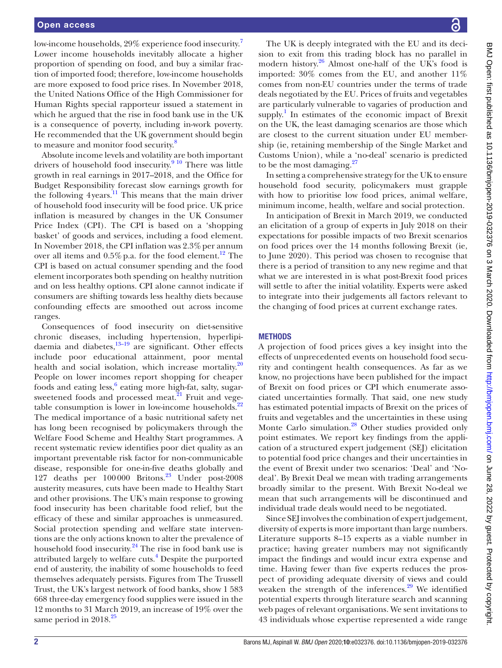low-income households, 29% experience food insecurity.<sup>[7](#page-7-6)</sup> Lower income households inevitably allocate a higher proportion of spending on food, and buy a similar fraction of imported food; therefore, low-income households are more exposed to food price rises. In November 2018, the United Nations Office of the High Commissioner for Human Rights special rapporteur issued a statement in which he argued that the rise in food bank use in the UK is a consequence of poverty, including in-work poverty. He recommended that the UK government should begin to measure and monitor food security.<sup>[8](#page-7-7)</sup>

Absolute income levels and volatility are both important drivers of household food insecurity.<sup>[9 10](#page-7-8)</sup> There was little growth in real earnings in 2017–2018, and the Office for Budget Responsibility forecast slow earnings growth for the following 4years.<sup>11</sup> This means that the main driver of household food insecurity will be food price. UK price inflation is measured by changes in the UK Consumer Price Index (CPI). The CPI is based on a 'shopping basket' of goods and services, including a food element. In November 2018, the CPI inflation was  $2.3\%$  per annum over all items and  $0.5\%$  p.a. for the food element.<sup>[12](#page-7-10)</sup> The CPI is based on actual consumer spending and the food element incorporates both spending on healthy nutrition and on less healthy options. CPI alone cannot indicate if consumers are shifting towards less healthy diets because confounding effects are smoothed out across income ranges.

Consequences of food insecurity on diet-sensitive chronic diseases, including hypertension, hyperlipidaemia and diabetes, $13-19$  are significant. Other effects include poor educational attainment, poor mental health and social isolation, which increase mortality. $20$ People on lower incomes report shopping for cheaper foods and eating less,<sup>[6](#page-7-5)</sup> eating more high-fat, salty, sugarsweetened foods and processed meat. $^{21}$  $^{21}$  $^{21}$  Fruit and vegetable consumption is lower in low-income households. $22$ The medical importance of a basic nutritional safety net has long been recognised by policymakers through the Welfare Food Scheme and Healthy Start programmes. A recent systematic review identifies poor diet quality as an important preventable risk factor for non-communicable disease, responsible for one-in-five deaths globally and 127 deaths per 100000 Britons.[23](#page-7-15) Under post-2008 austerity measures, cuts have been made to Healthy Start and other provisions. The UK's main response to growing food insecurity has been charitable food relief, but the efficacy of these and similar approaches is unmeasured. Social protection spending and welfare state interventions are the only actions known to alter the prevalence of household food insecurity.<sup>24</sup> The rise in food bank use is attributed largely to welfare cuts.<sup>4</sup> Despite the purported end of austerity, the inability of some households to feed themselves adequately persists. Figures from The Trussell Trust, the UK's largest network of food banks, show 1 583 668 three-day emergency food supplies were issued in the 12 months to 31 March 2019, an increase of 19% over the same period in 2018.<sup>[25](#page-7-17)</sup>

The UK is deeply integrated with the EU and its decision to exit from this trading block has no parallel in modern history.<sup>26</sup> Almost one-half of the UK's food is imported: 30% comes from the EU, and another 11% comes from non-EU countries under the terms of trade deals negotiated by the EU. Prices of fruits and vegetables are particularly vulnerable to vagaries of production and supply.<sup>[1](#page-7-0)</sup> In estimates of the economic impact of Brexit on the UK, the least damaging scenarios are those which are closest to the current situation under EU membership (ie, retaining membership of the Single Market and Customs Union), while a 'no-deal' scenario is predicted to be the most damaging. $27$ 

In setting a comprehensive strategy for the UK to ensure household food security, policymakers must grapple with how to prioritise low food prices, animal welfare, minimum income, health, welfare and social protection.

In anticipation of Brexit in March 2019, we conducted an elicitation of a group of experts in July 2018 on their expectations for possible impacts of two Brexit scenarios on food prices over the 14 months following Brexit (ie, to June 2020). This period was chosen to recognise that there is a period of transition to any new regime and that what we are interested in is what post-Brexit food prices will settle to after the initial volatility. Experts were asked to integrate into their judgements all factors relevant to the changing of food prices at current exchange rates.

## **METHODS**

A projection of food prices gives a key insight into the effects of unprecedented events on household food security and contingent health consequences. As far as we know, no projections have been published for the impact of Brexit on food prices or CPI which enumerate associated uncertainties formally. That said, one new study has estimated potential impacts of Brexit on the prices of fruits and vegetables and the uncertainties in these using Monte Carlo simulation.<sup>28</sup> Other studies provided only point estimates. We report key findings from the application of a structured expert judgement (SEJ) elicitation to potential food price changes and their uncertainties in the event of Brexit under two scenarios: 'Deal' and 'Nodeal'. By Brexit Deal we mean with trading arrangements broadly similar to the present. With Brexit No-deal we mean that such arrangements will be discontinued and individual trade deals would need to be negotiated.

Since SEJ involves the combination of expert judgement, diversity of experts is more important than large numbers. Literature supports 8–15 experts as a viable number in practice; having greater numbers may not significantly impact the findings and would incur extra expense and time. Having fewer than five experts reduces the prospect of providing adequate diversity of views and could weaken the strength of the inferences. $29$  We identified potential experts through literature search and scanning web pages of relevant organisations. We sent invitations to 43 individuals whose expertise represented a wide range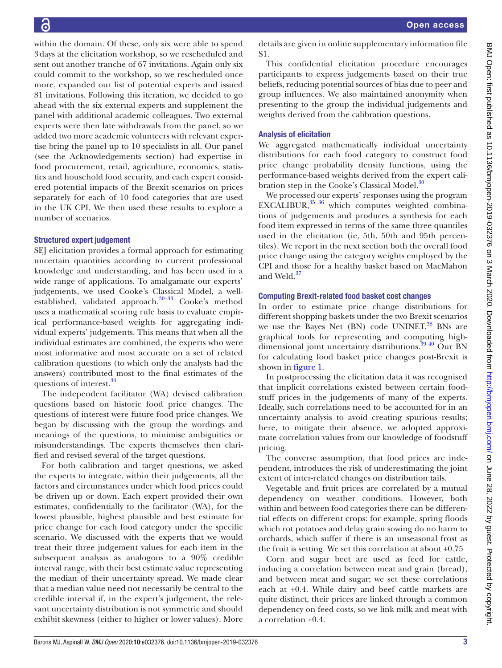within the domain. Of these, only six were able to spend 3days at the elicitation workshop, so we rescheduled and sent out another tranche of 67 invitations. Again only six could commit to the workshop, so we rescheduled once more, expanded our list of potential experts and issued 81 invitations. Following this iteration, we decided to go ahead with the six external experts and supplement the panel with additional academic colleagues. Two external experts were then late withdrawals from the panel, so we added two more academic volunteers with relevant expertise bring the panel up to 10 specialists in all. Our panel (see the Acknowledgements section) had expertise in food procurement, retail, agriculture, economics, statistics and household food security, and each expert considered potential impacts of the Brexit scenarios on prices separately for each of 10 food categories that are used in the UK CPI. We then used these results to explore a number of scenarios.

#### Structured expert judgement

SEJ elicitation provides a formal approach for estimating uncertain quantities according to current professional knowledge and understanding, and has been used in a wide range of applications. To amalgamate our experts' judgements, we used Cooke's Classical Model, a wellestablished, validated approach. $30-33$  Cooke's method uses a mathematical scoring rule basis to evaluate empirical performance-based weights for aggregating individual experts' judgements. This means that when all the individual estimates are combined, the experts who were most informative and most accurate on a set of related calibration questions (to which only the analysts had the answers) contributed most to the final estimates of the questions of interest.<sup>[34](#page-7-23)</sup>

The independent facilitator (WA) devised calibration questions based on historic food price changes. The questions of interest were future food price changes. We began by discussing with the group the wordings and meanings of the questions, to minimise ambiguities or misunderstandings. The experts themselves then clarified and revised several of the target questions.

For both calibration and target questions, we asked the experts to integrate, within their judgements, all the factors and circumstances under which food prices could be driven up or down. Each expert provided their own estimates, confidentially to the facilitator (WA), for the lowest plausible, highest plausible and best estimate for price change for each food category under the specific scenario. We discussed with the experts that we would treat their three judgement values for each item in the subsequent analysis as analogous to a 90% credible interval range, with their best estimate value representing the median of their uncertainty spread. We made clear that a median value need not necessarily be central to the credible interval if, in the expert's judgement, the relevant uncertainty distribution is not symmetric and should exhibit skewness (either to higher or lower values). More

details are given in [online supplementary information file](https://dx.doi.org/10.1136/bmjopen-2019-032376)  [S1](https://dx.doi.org/10.1136/bmjopen-2019-032376).

This confidential elicitation procedure encourages participants to express judgements based on their true beliefs, reducing potential sources of bias due to peer and group influences. We also maintained anonymity when presenting to the group the individual judgements and weights derived from the calibration questions.

#### Analysis of elicitation

We aggregated mathematically individual uncertainty distributions for each food category to construct food price change probability density functions, using the performance-based weights derived from the expert cali-bration step in the Cooke's Classical Model.<sup>[30](#page-7-22)</sup>

We processed our experts' responses using the program EXCALIBUR,<sup>35</sup> 36</sup> which computes weighted combinations of judgements and produces a synthesis for each food item expressed in terms of the same three quantiles used in the elicitation (ie, 5th, 50th and 95th percentiles). We report in the next section both the overall food price change using the category weights employed by the CPI and those for a healthy basket based on MacMahon and Weld.<sup>[37](#page-7-25)</sup>

#### Computing Brexit-related food basket cost changes

In order to estimate price change distributions for different shopping baskets under the two Brexit scenarios we use the Bayes Net (BN) code UNINET. [38](#page-7-26) BNs are graphical tools for representing and computing highdimensional joint uncertainty distributions.<sup>39 40</sup> Our BN for calculating food basket price changes post-Brexit is shown in [figure](#page-3-0) 1.

In postprocessing the elicitation data it was recognised that implicit correlations existed between certain foodstuff prices in the judgements of many of the experts. Ideally, such correlations need to be accounted for in an uncertainty analysis to avoid creating spurious results; here, to mitigate their absence, we adopted approximate correlation values from our knowledge of foodstuff pricing.

The converse assumption, that food prices are independent, introduces the risk of underestimating the joint extent of inter-related changes on distribution tails.

Vegetable and fruit prices are correlated by a mutual dependency on weather conditions. However, both within and between food categories there can be differential effects on different crops: for example, spring floods which rot potatoes and delay grain sowing do no harm to orchards, which suffer if there is an unseasonal frost as the fruit is setting. We set this correlation at about +0.75

Corn and sugar beet are used as feed for cattle, inducing a correlation between meat and grain (bread), and between meat and sugar; we set these correlations each at +0.4. While dairy and beef cattle markets are quite distinct, their prices are linked through a common dependency on feed costs, so we link milk and meat with a correlation +0.4.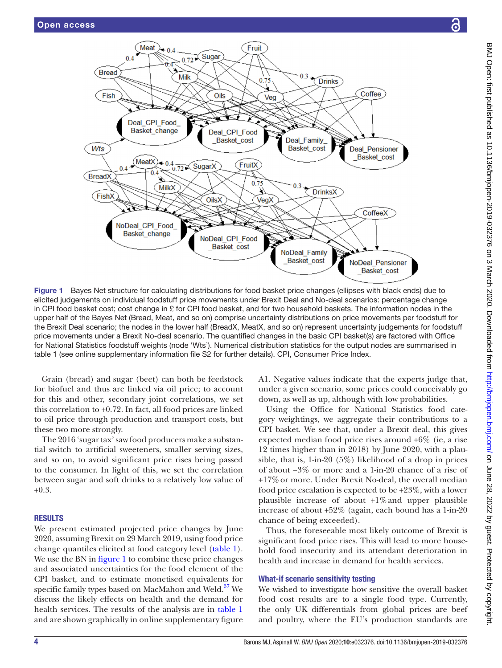

<span id="page-3-0"></span>elicited judgements on individual foodstuff price movements under Brexit Deal and No-deal scenarios: percentage change in CPI food basket cost; cost change in £ for CPI food basket, and for two household baskets. The information nodes in the upper half of the Bayes Net (Bread, Meat, and so on) comprise uncertainty distributions on price movements per foodstuff for the Brexit Deal scenario; the nodes in the lower half (BreadX, MeatX, and so on) represent uncertainty judgements for foodstuff price movements under a Brexit No-deal scenario. The quantified changes in the basic CPI basket(s) are factored with Office for National Statistics foodstuff weights (node 'Wts'). Numerical distribution statistics for the output nodes are summarised in [table 1](#page-4-0) (see [online supplementary information file S2](https://dx.doi.org/10.1136/bmjopen-2019-032376) for further details). CPI, Consumer Price Index.

Grain (bread) and sugar (beet) can both be feedstock for biofuel and thus are linked via oil price; to account for this and other, secondary joint correlations, we set this correlation to +0.72. In fact, all food prices are linked to oil price through production and transport costs, but these two more strongly.

The 2016 'sugar tax' saw food producers make a substantial switch to artificial sweeteners, smaller serving sizes, and so on, to avoid significant price rises being passed to the consumer. In light of this, we set the correlation between sugar and soft drinks to a relatively low value of +0.3.

# **RESULTS**

We present estimated projected price changes by June 2020, assuming Brexit on 29 March 2019, using food price change quantiles elicited at food category level [\(table](#page-4-0) 1). We use the BN in [figure](#page-3-0) 1 to combine these price changes and associated uncertainties for the food element of the CPI basket, and to estimate monetised equivalents for specific family types based on MacMahon and Weld.<sup>[37](#page-7-25)</sup> We discuss the likely effects on health and the demand for health services. The results of the analysis are in [table](#page-4-0) 1 and are shown graphically in [online supplementary figure](https://dx.doi.org/10.1136/bmjopen-2019-032376)

[A1.](https://dx.doi.org/10.1136/bmjopen-2019-032376) Negative values indicate that the experts judge that, under a given scenario, some prices could conceivably go down, as well as up, although with low probabilities.

Using the Office for National Statistics food category weightings, we aggregate their contributions to a CPI basket. We see that, under a Brexit deal, this gives expected median food price rises around +6% (ie, a rise 12 times higher than in 2018) by June 2020, with a plausible, that is, 1-in-20 (5%) likelihood of a drop in prices of about −3% or more and a 1-in-20 chance of a rise of +17%or more. Under Brexit No-deal, the overall median food price escalation is expected to be +23%, with a lower plausible increase of about  $+1\%$  and upper plausible increase of about +52% (again, each bound has a 1-in-20 chance of being exceeded).

Thus, the foreseeable most likely outcome of Brexit is significant food price rises. This will lead to more household food insecurity and its attendant deterioration in health and increase in demand for health services.

#### What-if scenario sensitivity testing

We wished to investigate how sensitive the overall basket food cost results are to a single food type. Currently, the only UK differentials from global prices are beef and poultry, where the EU's production standards are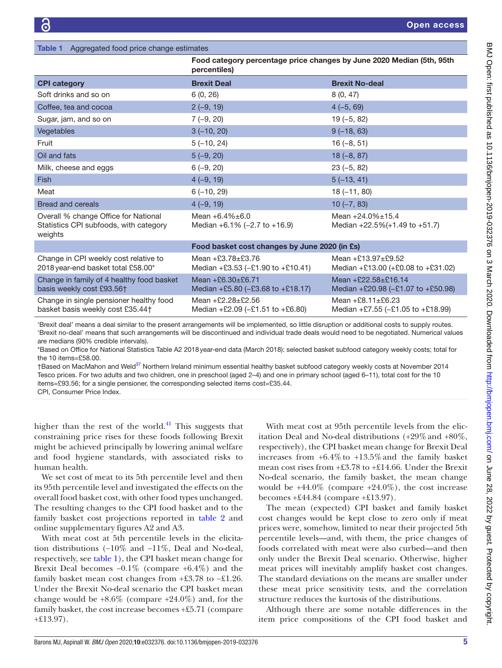<span id="page-4-0"></span>

| <b>Table 1</b> Aggregated food price change estimates                                                                                          |                                                                                       |                                                                       |  |  |  |
|------------------------------------------------------------------------------------------------------------------------------------------------|---------------------------------------------------------------------------------------|-----------------------------------------------------------------------|--|--|--|
|                                                                                                                                                | Food category percentage price changes by June 2020 Median (5th, 95th<br>percentiles) |                                                                       |  |  |  |
| <b>CPI category</b>                                                                                                                            | <b>Brexit Deal</b>                                                                    | <b>Brexit No-deal</b>                                                 |  |  |  |
| Soft drinks and so on                                                                                                                          | 6(0, 26)                                                                              | 8(0, 47)                                                              |  |  |  |
| Coffee, tea and cocoa                                                                                                                          | $2(-9, 19)$                                                                           | $4(-5, 69)$                                                           |  |  |  |
| Sugar, jam, and so on                                                                                                                          | $7(-9, 20)$                                                                           | $19(-5, 82)$                                                          |  |  |  |
| Vegetables                                                                                                                                     | $3(-10, 20)$                                                                          | $9(-18, 63)$                                                          |  |  |  |
| Fruit                                                                                                                                          | $5(-10, 24)$                                                                          | $16(-8, 51)$                                                          |  |  |  |
| Oil and fats                                                                                                                                   | $5(-9, 20)$                                                                           | $18(-8, 87)$                                                          |  |  |  |
| Milk, cheese and eggs                                                                                                                          | $6(-9, 20)$                                                                           | $23(-5, 82)$                                                          |  |  |  |
| <b>Fish</b>                                                                                                                                    | $4(-9, 19)$                                                                           | $5(-13, 41)$                                                          |  |  |  |
| Meat                                                                                                                                           | $6(-10, 29)$                                                                          | $18(-11, 80)$                                                         |  |  |  |
| <b>Bread and cereals</b>                                                                                                                       | $4(-9, 19)$                                                                           | $10(-7, 83)$                                                          |  |  |  |
| Overall % change Office for National<br>Statistics CPI subfoods, with category<br>weights                                                      | Mean $+6.4\% \pm 6.0$<br>Median $+6.1\%$ (-2.7 to $+16.9$ )                           | Mean $+24.0\% \pm 15.4$<br>Median $+22.5\% (+1.49 \text{ to } +51.7)$ |  |  |  |
|                                                                                                                                                | Food basket cost changes by June 2020 (in £s)                                         |                                                                       |  |  |  |
| Change in CPI weekly cost relative to<br>2018 year-end basket total £58.00*                                                                    | Mean $+23.78 \pm 23.76$<br>Median +£3.53 (-£1.90 to +£10.41)                          | Mean +£13.97 $\pm$ £9.52<br>Median +£13.00 (+£0.08 to +£31.02)        |  |  |  |
| Change in family of 4 healthy food basket<br>basis weekly cost £93.56†                                                                         | Mean +£6.30±£6.71<br>Median +£5.80 ( $-$ £3.68 to +£18.17)                            | Mean +£22.58±£16.14<br>Median +£20.98 ( $-£1.07$ to +£50.98)          |  |  |  |
| Change in single pensioner healthy food<br>basket basis weekly cost £35.44†                                                                    | Mean $+£2.28 \pm £2.56$<br>Median $+£2.09$ ( $-£1.51$ to $+£6.80$ )                   | Mean +£8.11±£6.23<br>Median +£7.55 (-£1.05 to +£18.99)                |  |  |  |
| Exercit deel' means a deel gimilar to the present errorgamento will be implemented, as little digruption are additional seate to quaply reuted |                                                                                       |                                                                       |  |  |  |

'Brexit deal' means a deal similar to the present arrangements will be implemented, so little disruption or additional costs to supply routes. 'Brexit no-deal' means that such arrangements will be discontinued and individual trade deals would need to be negotiated. Numerical values are medians (90% credible intervals).

\*Based on Office for National Statistics Table A2 2018year-end data (March 2018): selected basket subfood category weekly costs; total for the 10 items=£58.00.

†Based on MacMahon and Weld[37](#page-7-25) Northern Ireland minimum essential healthy basket subfood category weekly costs at November 2014 Tesco prices. For two adults and two children, one in preschool (aged 2–4) and one in primary school (aged 6–11), total cost for the 10 items=£93.56; for a single pensioner, the corresponding selected items cost=£35.44.

CPI, Consumer Price Index.

higher than the rest of the world. $41$  This suggests that constraining price rises for these foods following Brexit might be achieved principally by lowering animal welfare and food hygiene standards, with associated risks to human health.

We set cost of meat to its 5th percentile level and then its 95th percentile level and investigated the effects on the overall food basket cost, with other food types unchanged. The resulting changes to the CPI food basket and to the family basket cost projections reported in [table](#page-5-0) 2 and [online supplementary figures A2 and A3](https://dx.doi.org/10.1136/bmjopen-2019-032376).

With meat cost at 5th percentile levels in the elicitation distributions (−10% and −11%, Deal and No-deal, respectively, see [table](#page-4-0) 1), the CPI basket mean change for Brexit Deal becomes −0.1% (compare +6.4%) and the family basket mean cost changes from +£3.78 to −£1.26. Under the Brexit No-deal scenario the CPI basket mean change would be  $+8.6\%$  (compare  $+24.0\%$ ) and, for the family basket, the cost increase becomes +£5.71 (compare +£13.97).

With meat cost at 95th percentile levels from the elicitation Deal and No-deal distributions  $(+29\% \text{ and } +80\%,$ respectively), the CPI basket mean change for Brexit Deal increases from  $+6.4\%$  to  $+13.5\%$  and the family basket mean cost rises from +£3.78 to +£14.66. Under the Brexit No-deal scenario, the family basket, the mean change would be  $+44.0\%$  (compare  $+24.0\%$ ), the cost increase becomes +£44.84 (compare +£13.97).

The mean (expected) CPI basket and family basket cost changes would be kept close to zero only if meat prices were, somehow, limited to near their projected 5th percentile levels—and, with them, the price changes of foods correlated with meat were also curbed—and then only under the Brexit Deal scenario. Otherwise, higher meat prices will inevitably amplify basket cost changes. The standard deviations on the means are smaller under these meat price sensitivity tests, and the correlation structure reduces the kurtosis of the distributions.

Although there are some notable differences in the item price compositions of the CPI food basket and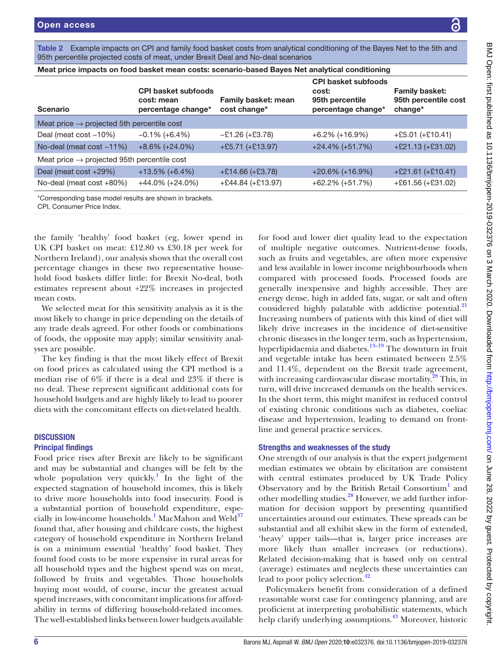<span id="page-5-0"></span>Table 2 Example impacts on CPI and family food basket costs from analytical conditioning of the Bayes Net to the 5th and 95th percentile projected costs of meat, under Brexit Deal and No-deal scenarios

| Meat price impacts on food basket mean costs: scenario-based Bayes Net analytical conditioning |                                                                |                                     |                                                                              |                                                          |  |
|------------------------------------------------------------------------------------------------|----------------------------------------------------------------|-------------------------------------|------------------------------------------------------------------------------|----------------------------------------------------------|--|
| <b>Scenario</b>                                                                                | <b>CPI basket subfoods</b><br>cost: mean<br>percentage change* | Family basket: mean<br>cost change* | <b>CPI basket subfoods</b><br>cost:<br>95th percentile<br>percentage change* | <b>Family basket:</b><br>95th percentile cost<br>change* |  |
| Meat price $\rightarrow$ projected 5th percentile cost                                         |                                                                |                                     |                                                                              |                                                          |  |
| Deal (meat cost -10%)                                                                          | $-0.1\%$ (+6.4%)                                               | $-E1.26 (+E3.78)$                   | $+6.2\%$ (+16.9%)                                                            | $+£5.01 (+£10.41)$                                       |  |
| No-deal (meat cost -11%)                                                                       | $+8.6\%$ (+24.0%)                                              | $+£5.71 (+£13.97)$                  | $+24.4\%$ (+51.7%)                                                           | $+£21.13 (+£31.02)$                                      |  |
| Meat price $\rightarrow$ projected 95th percentile cost                                        |                                                                |                                     |                                                                              |                                                          |  |
| Deal (meat cost +29%)                                                                          | $+13.5\%$ (+6.4%)                                              | $+£14.66 (+£3.78)$                  | $+20.6\%$ (+16.9%}                                                           | $+$ £21.61 (+£10.41)                                     |  |
| No-deal (meat cost +80%)                                                                       | $+44.0\%$ (+24.0%)                                             | $+£44.84 (+£13.97)$                 | $+62.2\% (+51.7\%)$                                                          | $+£61.56 (+£31.02)$                                      |  |

\*Corresponding base model results are shown in brackets.

CPI, Consumer Price Index.

the family 'healthy' food basket (eg, lower spend in UK CPI basket on meat: £12.80 vs £30.18 per week for Northern Ireland), our analysis shows that the overall cost percentage changes in these two representative household food baskets differ little: for Brexit No-deal, both estimates represent about +22% increases in projected mean costs.

We selected meat for this sensitivity analysis as it is the most likely to change in price depending on the details of any trade deals agreed. For other foods or combinations of foods, the opposite may apply; similar sensitivity analyses are possible.

The key finding is that the most likely effect of Brexit on food prices as calculated using the CPI method is a median rise of 6% if there is a deal and 23% if there is no deal. These represent significant additional costs for household budgets and are highly likely to lead to poorer diets with the concomitant effects on diet-related health.

#### **DISCUSSION**

#### Principal findings

Food price rises after Brexit are likely to be significant and may be substantial and changes will be felt by the whole population very quickly.<sup>[1](#page-7-0)</sup> In the light of the expected stagnation of household incomes, this is likely to drive more households into food insecurity. Food is a substantial portion of household expenditure, espe-cially in low-income households.<sup>[1](#page-7-0)</sup> MacMahon and Weld<sup>37</sup> found that, after housing and childcare costs, the highest category of household expenditure in Northern Ireland is on a minimum essential 'healthy' food basket. They found food costs to be more expensive in rural areas for all household types and the highest spend was on meat, followed by fruits and vegetables. Those households buying most would, of course, incur the greatest actual spend increases, with concomitant implications for affordability in terms of differing household-related incomes. The well-established links between lower budgets available

for food and lower diet quality lead to the expectation of multiple negative outcomes. Nutrient-dense foods, such as fruits and vegetables, are often more expensive and less available in lower income neighbourhoods when compared with processed foods. Processed foods are generally inexpensive and highly accessible. They are energy dense, high in added fats, sugar, or salt and often considered highly palatable with addictive potential.<sup>[21](#page-7-13)</sup> Increasing numbers of patients with this kind of diet will likely drive increases in the incidence of diet-sensitive chronic diseases in the longer term, such as hypertension, hyperlipidaemia and diabetes. $13-19$  The downturn in fruit and vegetable intake has been estimated between 2.5% and 11.4%, dependent on the Brexit trade agreement, with increasing cardiovascular disease mortality.<sup>28</sup> This, in turn, will drive increased demands on the health services. In the short term, this might manifest in reduced control of existing chronic conditions such as diabetes, coeliac disease and hypertension, leading to demand on frontline and general practice services.

#### Strengths and weaknesses of the study

One strength of our analysis is that the expert judgement median estimates we obtain by elicitation are consistent with central estimates produced by UK Trade Policy Observatory and by the British Retail Consortium<sup>[1](#page-7-0)</sup> and other modelling studies.<sup>28</sup> However, we add further information for decision support by presenting quantified uncertainties around our estimates. These spreads can be substantial and all exhibit skew in the form of extended, 'heavy' upper tails—that is, larger price increases are more likely than smaller increases (or reductions). Related decision-making that is based only on central (average) estimates and neglects these uncertainties can lead to poor policy selection.<sup>[42](#page-7-29)</sup>

Policymakers benefit from consideration of a defined reasonable worst case for contingency planning, and are proficient at interpreting probabilistic statements, which help clarify underlying assumptions.<sup>43</sup> Moreover, historic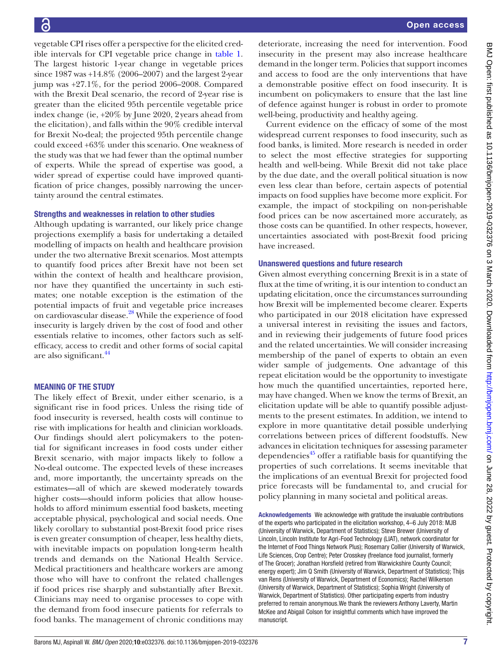vegetable CPI rises offer a perspective for the elicited credible intervals for CPI vegetable price change in [table](#page-4-0) 1. The largest historic 1-year change in vegetable prices since 1987 was +14.8% (2006–2007) and the largest 2-year jump was +27.1%, for the period 2006–2008. Compared with the Brexit Deal scenario, the record of 2-year rise is greater than the elicited 95th percentile vegetable price index change (ie, +20% by June 2020, 2years ahead from the elicitation), and falls within the 90% credible interval for Brexit No-deal; the projected 95th percentile change could exceed +63% under this scenario. One weakness of the study was that we had fewer than the optimal number of experts. While the spread of expertise was good, a wider spread of expertise could have improved quantification of price changes, possibly narrowing the uncertainty around the central estimates.

## Strengths and weaknesses in relation to other studies

Although updating is warranted, our likely price change projections exemplify a basis for undertaking a detailed modelling of impacts on health and healthcare provision under the two alternative Brexit scenarios. Most attempts to quantify food prices after Brexit have not been set within the context of health and healthcare provision, nor have they quantified the uncertainty in such estimates; one notable exception is the estimation of the potential impacts of fruit and vegetable price increases on cardiovascular disease.<sup>28</sup> While the experience of food insecurity is largely driven by the cost of food and other essentials relative to incomes, other factors such as selfefficacy, access to credit and other forms of social capital are also significant.<sup>[44](#page-7-31)</sup>

## Meaning of the study

The likely effect of Brexit, under either scenario, is a significant rise in food prices. Unless the rising tide of food insecurity is reversed, health costs will continue to rise with implications for health and clinician workloads. Our findings should alert policymakers to the potential for significant increases in food costs under either Brexit scenario, with major impacts likely to follow a No-deal outcome. The expected levels of these increases and, more importantly, the uncertainty spreads on the estimates—all of which are skewed moderately towards higher costs—should inform policies that allow households to afford minimum essential food baskets, meeting acceptable physical, psychological and social needs. One likely corollary to substantial post-Brexit food price rises is even greater consumption of cheaper, less healthy diets, with inevitable impacts on population long-term health trends and demands on the National Health Service. Medical practitioners and healthcare workers are among those who will have to confront the related challenges if food prices rise sharply and substantially after Brexit. Clinicians may need to organise processes to cope with the demand from food insecure patients for referrals to food banks. The management of chronic conditions may

deteriorate, increasing the need for intervention. Food insecurity in the present may also increase healthcare demand in the longer term. Policies that support incomes and access to food are the only interventions that have a demonstrable positive effect on food insecurity. It is incumbent on policymakers to ensure that the last line of defence against hunger is robust in order to promote well-being, productivity and healthy ageing.

Current evidence on the efficacy of some of the most widespread current responses to food insecurity, such as food banks, is limited. More research is needed in order to select the most effective strategies for supporting health and well-being. While Brexit did not take place by the due date, and the overall political situation is now even less clear than before, certain aspects of potential impacts on food supplies have become more explicit. For example, the impact of stockpiling on non-perishable food prices can be now ascertained more accurately, as those costs can be quantified. In other respects, however, uncertainties associated with post-Brexit food pricing have increased.

## Unanswered questions and future research

Given almost everything concerning Brexit is in a state of flux at the time of writing, it is our intention to conduct an updating elicitation, once the circumstances surrounding how Brexit will be implemented become clearer. Experts who participated in our 2018 elicitation have expressed a universal interest in revisiting the issues and factors, and in reviewing their judgements of future food prices and the related uncertainties. We will consider increasing membership of the panel of experts to obtain an even wider sample of judgements. One advantage of this repeat elicitation would be the opportunity to investigate how much the quantified uncertainties, reported here, may have changed. When we know the terms of Brexit, an elicitation update will be able to quantify possible adjustments to the present estimates. In addition, we intend to explore in more quantitative detail possible underlying correlations between prices of different foodstuffs. New advances in elicitation techniques for assessing parameter dependencies $45$  offer a ratifiable basis for quantifying the properties of such correlations. It seems inevitable that the implications of an eventual Brexit for projected food price forecasts will be fundamental to, and crucial for policy planning in many societal and political areas.

Acknowledgements We acknowledge with gratitude the invaluable contributions of the experts who participated in the elicitation workshop, 4–6 July 2018: MJB (University of Warwick, Department of Statistics); Steve Brewer (University of Lincoln, Lincoln Institute for Agri-Food Technology (LIAT), network coordinator for the Internet of Food Things Network Plus); Rosemary Collier (University of Warwick, Life Sciences, Crop Centre); Peter Crosskey (freelance food journalist, formerly of The Grocer); Jonathan Horsfield (retired from Warwickshire County Council; energy expert); Jim Q Smith (University of Warwick, Department of Statistics); Thijs van Rens (University of Warwick, Department of Economics); Rachel Wilkerson (University of Warwick, Department of Statistics); Sophia Wright (University of Warwick, Department of Statistics). Other participating experts from industry preferred to remain anonymous.We thank the reviewers Anthony Laverty, Martin McKee and Abigail Colson for insightful comments which have improved the manuscript.